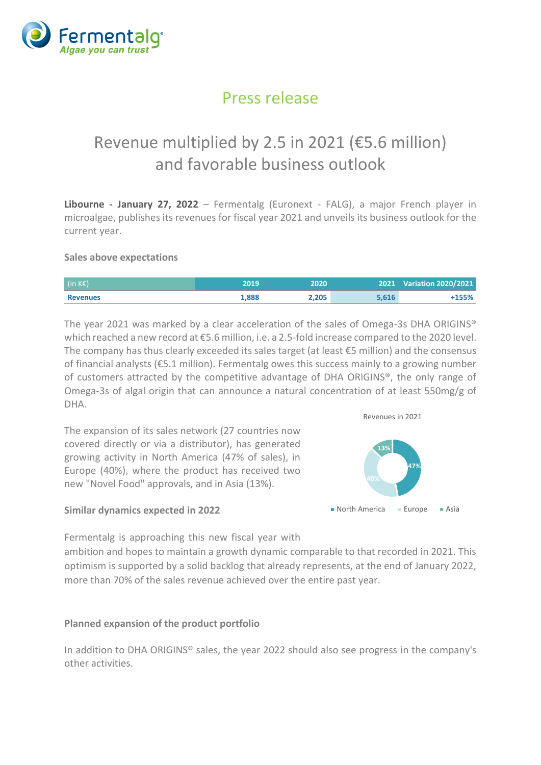

### Press release

## Revenue multiplied by 2.5 in 2021 (€5.6 million) and favorable business outlook

**Libourne - January 27, 2022** – Fermentalg (Euronext - FALG), a major French player in microalgae, publishes its revenues for fiscal year 2021 and unveils its business outlook for the current year.

### **Sales above expectations**

| (in KE)         | 2019  | 2020  |       | 2021 Variation 2020/2021 |
|-----------------|-------|-------|-------|--------------------------|
| <b>Revenues</b> | 1,888 | 2.205 | 5.616 | +155%                    |

The year 2021 was marked by a clear acceleration of the sales of Omega-3s DHA ORIGINS® which reached a new record at €5.6 million, i.e. a 2.5-fold increase compared to the 2020 level. The company has thus clearly exceeded its sales target (at least €5 million) and the consensus of financial analysts (€5.1 million). Fermentalg owes this success mainly to a growing number of customers attracted by the competitive advantage of DHA ORIGINS®, the only range of Omega-3s of algal origin that can announce a natural concentration of at least 550mg/g of DHA.

The expansion of its sales network (27 countries now covered directly or via a distributor), has generated growing activity in North America (47% of sales), in Europe (40%), where the product has received two new "Novel Food" approvals, and in Asia (13%).

# **47% 13%** Revenues in 2021 **North America** Europe Asia

### **Similar dynamics expected in 2022**

Fermentalg is approaching this new fiscal year with

ambition and hopes to maintain a growth dynamic comparable to that recorded in 2021. This optimism is supported by a solid backlog that already represents, at the end of January 2022, more than 70% of the sales revenue achieved over the entire past year.

### **Planned expansion of the product portfolio**

In addition to DHA ORIGINS® sales, the year 2022 should also see progress in the company's other activities.